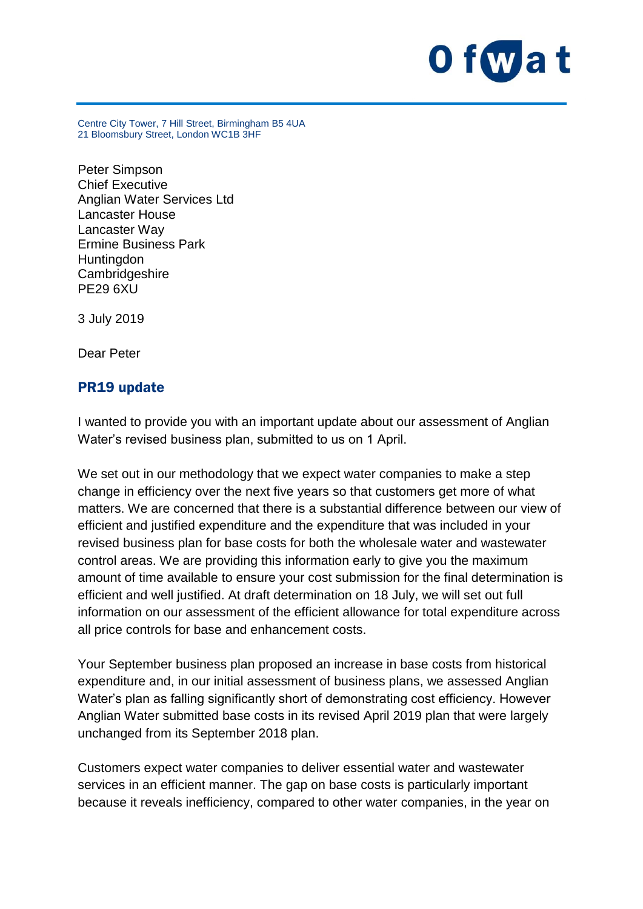

Centre City Tower, 7 Hill Street, Birmingham B5 4UA 21 Bloomsbury Street, London WC1B 3HF

Peter Simpson Chief Executive Anglian Water Services Ltd Lancaster House Lancaster Way Ermine Business Park **Huntingdon Cambridgeshire** PE29 6XU

3 July 2019

Dear Peter

## PR19 update

I wanted to provide you with an important update about our assessment of Anglian Water's revised business plan, submitted to us on 1 April.

We set out in our methodology that we expect water companies to make a step change in efficiency over the next five years so that customers get more of what matters. We are concerned that there is a substantial difference between our view of efficient and justified expenditure and the expenditure that was included in your revised business plan for base costs for both the wholesale water and wastewater control areas. We are providing this information early to give you the maximum amount of time available to ensure your cost submission for the final determination is efficient and well justified. At draft determination on 18 July, we will set out full information on our assessment of the efficient allowance for total expenditure across all price controls for base and enhancement costs.

Your September business plan proposed an increase in base costs from historical expenditure and, in our initial assessment of business plans, we assessed Anglian Water's plan as falling significantly short of demonstrating cost efficiency. However Anglian Water submitted base costs in its revised April 2019 plan that were largely unchanged from its September 2018 plan.

Customers expect water companies to deliver essential water and wastewater services in an efficient manner. The gap on base costs is particularly important because it reveals inefficiency, compared to other water companies, in the year on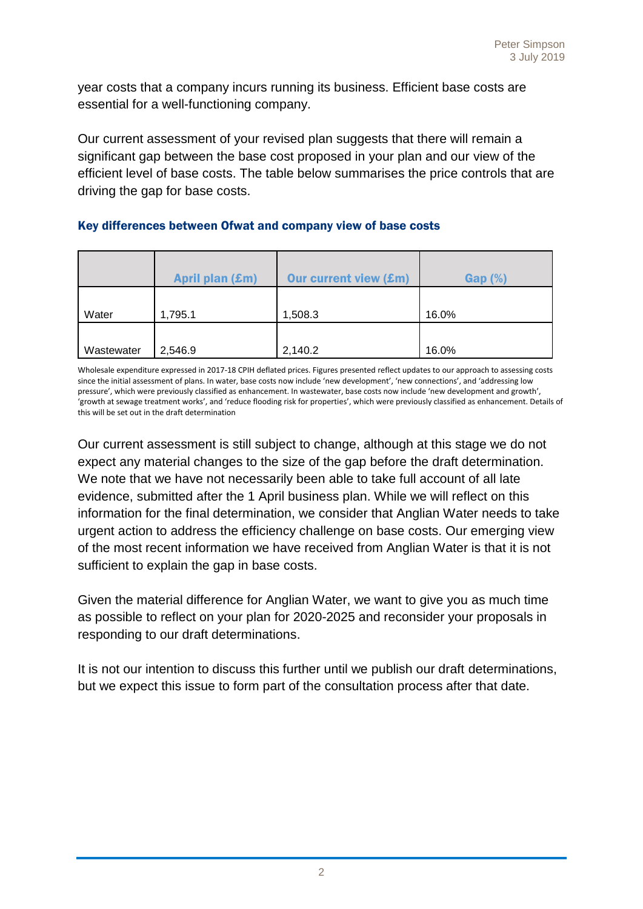year costs that a company incurs running its business. Efficient base costs are essential for a well-functioning company.

Our current assessment of your revised plan suggests that there will remain a significant gap between the base cost proposed in your plan and our view of the efficient level of base costs. The table below summarises the price controls that are driving the gap for base costs.

## Key differences between Ofwat and company view of base costs

|            | April plan (£m) | <b>Our current view (£m)</b> | $Gap(\%)$ |
|------------|-----------------|------------------------------|-----------|
| Water      | 1,795.1         | 1,508.3                      | 16.0%     |
| Wastewater | 2,546.9         | 2,140.2                      | 16.0%     |

Wholesale expenditure expressed in 2017-18 CPIH deflated prices. Figures presented reflect updates to our approach to assessing costs since the initial assessment of plans. In water, base costs now include 'new development', 'new connections', and 'addressing low pressure', which were previously classified as enhancement. In wastewater, base costs now include 'new development and growth', 'growth at sewage treatment works', and 'reduce flooding risk for properties', which were previously classified as enhancement. Details of this will be set out in the draft determination

Our current assessment is still subject to change, although at this stage we do not expect any material changes to the size of the gap before the draft determination. We note that we have not necessarily been able to take full account of all late evidence, submitted after the 1 April business plan. While we will reflect on this information for the final determination, we consider that Anglian Water needs to take urgent action to address the efficiency challenge on base costs. Our emerging view of the most recent information we have received from Anglian Water is that it is not sufficient to explain the gap in base costs.

Given the material difference for Anglian Water, we want to give you as much time as possible to reflect on your plan for 2020-2025 and reconsider your proposals in responding to our draft determinations.

It is not our intention to discuss this further until we publish our draft determinations, but we expect this issue to form part of the consultation process after that date.